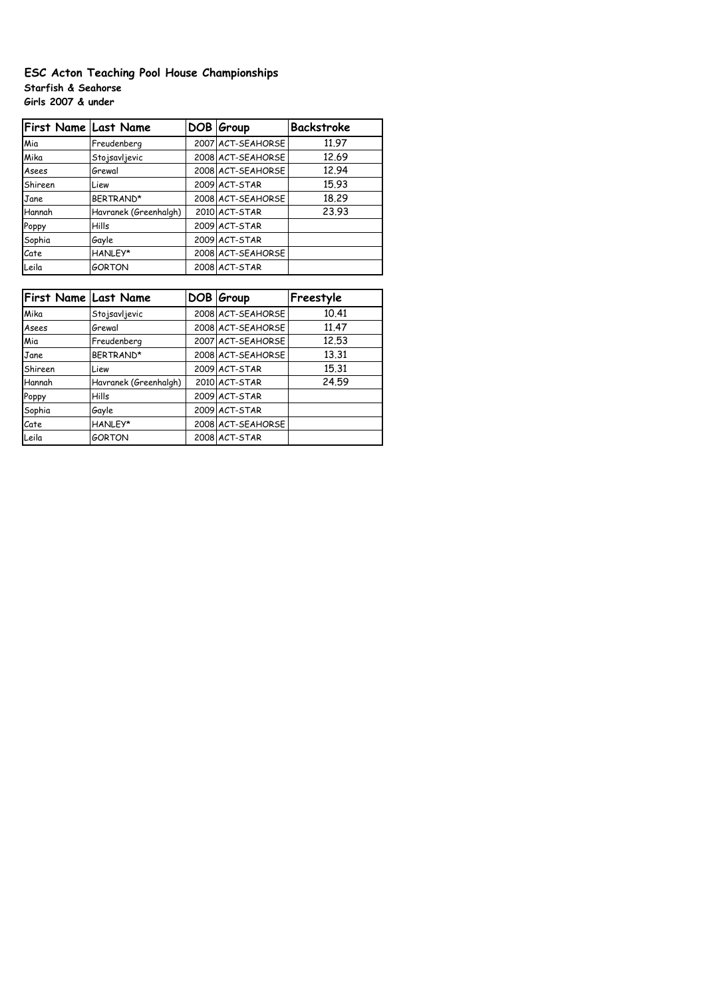# **ESC Acton Teaching Pool House Championships Starfish & Seahorse Girls 2007 & under**

| First Name Last Name |                       | DOB Group         | <b>Backstroke</b> |
|----------------------|-----------------------|-------------------|-------------------|
| Mia                  | Freudenberg           | 2007 ACT-SEAHORSE | 11.97             |
| Mika                 | Stojsavljevic         | 2008 ACT-SEAHORSE | 12.69             |
| Asees                | Grewal                | 2008 ACT-SEAHORSE | 12.94             |
| Shireen              | Liew                  | 2009 ACT-STAR     | 15.93             |
| Jane                 | BERTRAND*             | 2008 ACT-SEAHORSE | 18.29             |
| Hannah               | Havranek (Greenhalgh) | 2010 ACT-STAR     | 23.93             |
| Poppy                | Hills                 | 2009 ACT-STAR     |                   |
| Sophia               | Gayle                 | 2009 ACT-STAR     |                   |
| Cate                 | HANLEY*               | 2008 ACT-SEAHORSE |                   |
| Leila                | <b>GORTON</b>         | 2008 ACT-STAR     |                   |

| <b>First Name Last Name</b> |                       | DOB Group         | Freestyle |
|-----------------------------|-----------------------|-------------------|-----------|
| Mika                        | Stojsavljevic         | 2008 ACT-SEAHORSE | 10.41     |
| Asees                       | Grewal                | 2008 ACT-SEAHORSE | 11.47     |
| Mia                         | Freudenberg           | 2007 ACT-SEAHORSE | 12.53     |
| Jane                        | BERTRAND*             | 2008 ACT-SEAHORSE | 13.31     |
| Shireen                     | Liew                  | 2009 ACT-STAR     | 15.31     |
| Hannah                      | Havranek (Greenhalgh) | 2010 ACT-STAR     | 24.59     |
| Poppy                       | Hills                 | 2009 ACT-STAR     |           |
| Sophia                      | Gayle                 | 2009 ACT-STAR     |           |
| Cate                        | HANLEY*               | 2008 ACT-SEAHORSE |           |
| Leila                       | <b>GORTON</b>         | 2008 ACT-STAR     |           |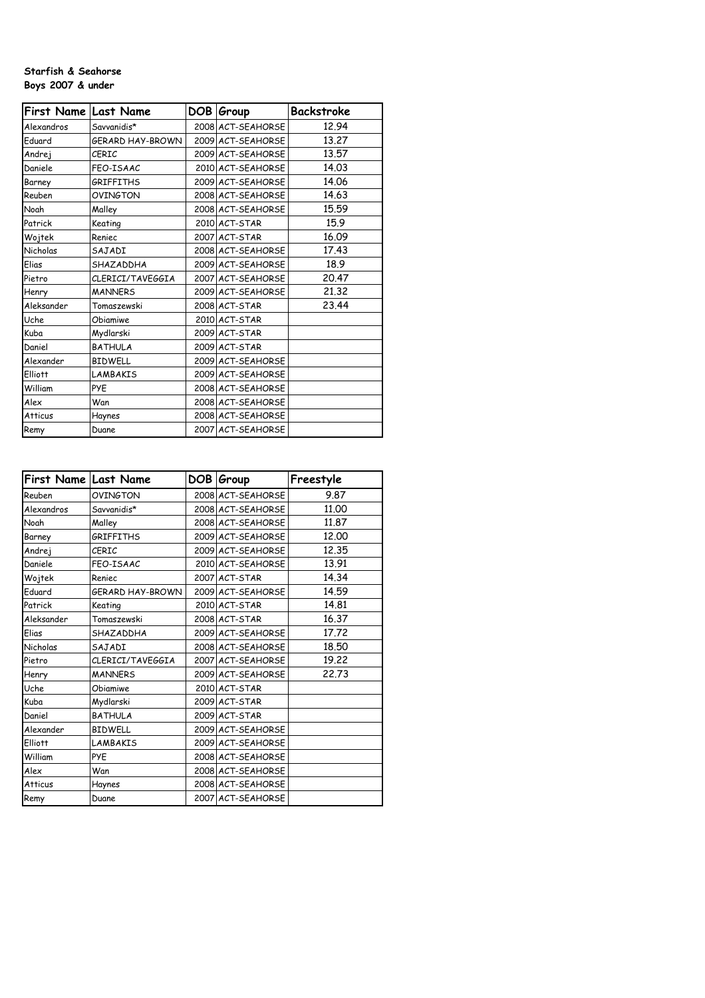#### **Starfish & Seahorse Boys 2007 & under**

| First Name Last Name |                  | DOB Group         | Backstroke |
|----------------------|------------------|-------------------|------------|
|                      |                  |                   |            |
| Alexandros           | Savvanidis*      | 2008 ACT-SEAHORSE | 12.94      |
| Eduard               | GERARD HAY-BROWN | 2009 ACT-SEAHORSE | 13.27      |
| Andrej               | CFRIC            | 2009 ACT-SEAHORSE | 13.57      |
| Daniele              | FEO-ISAAC        | 2010 ACT-SEAHORSE | 14.03      |
| Barney               | <b>GRIFFITHS</b> | 2009 ACT-SEAHORSE | 14.06      |
| Reuben               | OVINGTON         | 2008 ACT-SEAHORSE | 14.63      |
| Noah                 | Malley           | 2008 ACT-SEAHORSE | 15.59      |
| Patrick              | Keating          | 2010 ACT-STAR     | 15.9       |
| Wojtek               | Reniec           | 2007 ACT-STAR     | 16.09      |
| Nicholas             | SAJADI           | 2008 ACT-SEAHORSE | 17.43      |
| Elias                | SHAZADDHA        | 2009 ACT-SEAHORSE | 18.9       |
| Pietro               | CLERICI/TAVEGGIA | 2007 ACT-SEAHORSE | 20.47      |
| Henry                | <b>MANNERS</b>   | 2009 ACT-SEAHORSE | 21.32      |
| Aleksander           | Tomaszewski      | 2008 ACT-STAR     | 23.44      |
| Uche                 | Obiamiwe         | 2010 ACT-STAR     |            |
| Kuba                 | Mydlarski        | 2009 ACT-STAR     |            |
| Daniel               | <b>BATHULA</b>   | 2009 ACT-STAR     |            |
| Alexander            | <b>BIDWELL</b>   | 2009 ACT-SEAHORSE |            |
| <b>Elliott</b>       | <b>LAMBAKIS</b>  | 2009 ACT-SEAHORSE |            |
| William              | <b>PYF</b>       | 2008 ACT-SEAHORSE |            |
| Alex                 | Wan              | 2008 ACT-SEAHORSE |            |
| <b>Atticus</b>       | Haynes           | 2008 ACT-SEAHORSE |            |
| Remy                 | Duane            | 2007 ACT-SEAHORSE |            |

| First Name Last Name |                  | DOB Group         | Freestyle |
|----------------------|------------------|-------------------|-----------|
| Reuben               | OVINGTON         | 2008 ACT-SEAHORSE | 9.87      |
| Alexandros           | Savvanidis*      | 2008 ACT-SEAHORSE | 11.00     |
| Noah                 | Malley           | 2008 ACT-SEAHORSE | 11,87     |
| Barney               | GRIFFITHS        | 2009 ACT-SEAHORSE | 12,00     |
| Andrej               | CERIC            | 2009 ACT-SEAHORSE | 12,35     |
| Daniele              | FEO-ISAAC        | 2010 ACT-SEAHORSE | 13.91     |
| Wojtek               | Reniec           | 2007 ACT-STAR     | 14.34     |
| Eduard               | GERARD HAY-BROWN | 2009 ACT-SEAHORSE | 14.59     |
| Patrick              | Keating          | 2010 ACT-STAR     | 14,81     |
| Aleksander           | Tomaszewski      | 2008 ACT-STAR     | 16.37     |
| Elias                | SHAZADDHA        | 2009 ACT-SEAHORSE | 17.72     |
| Nicholas             | SAJADI           | 2008 ACT-SEAHORSE | 18.50     |
| Pietro               | CLERICI/TAVEGGIA | 2007 ACT-SEAHORSE | 19.22     |
| Henry                | <b>MANNERS</b>   | 2009 ACT-SEAHORSE | 22,73     |
| Uche                 | Obiamiwe         | 2010 ACT-STAR     |           |
| Kuba                 | Mydlarski        | 2009 ACT-STAR     |           |
| Daniel               | <b>BATHULA</b>   | 2009 ACT-STAR     |           |
| Alexander            | <b>BIDWELL</b>   | 2009 ACT-SEAHORSE |           |
| <b>Elliott</b>       | LAMBAKIS         | 2009 ACT-SEAHORSE |           |
| William              | PYE              | 2008 ACT-SEAHORSE |           |
| Alex                 | Wan              | 2008 ACT-SEAHORSE |           |
| <b>Atticus</b>       | Haynes           | 2008 ACT-SEAHORSE |           |
| Remy                 | Duane            | 2007 ACT-SEAHORSE |           |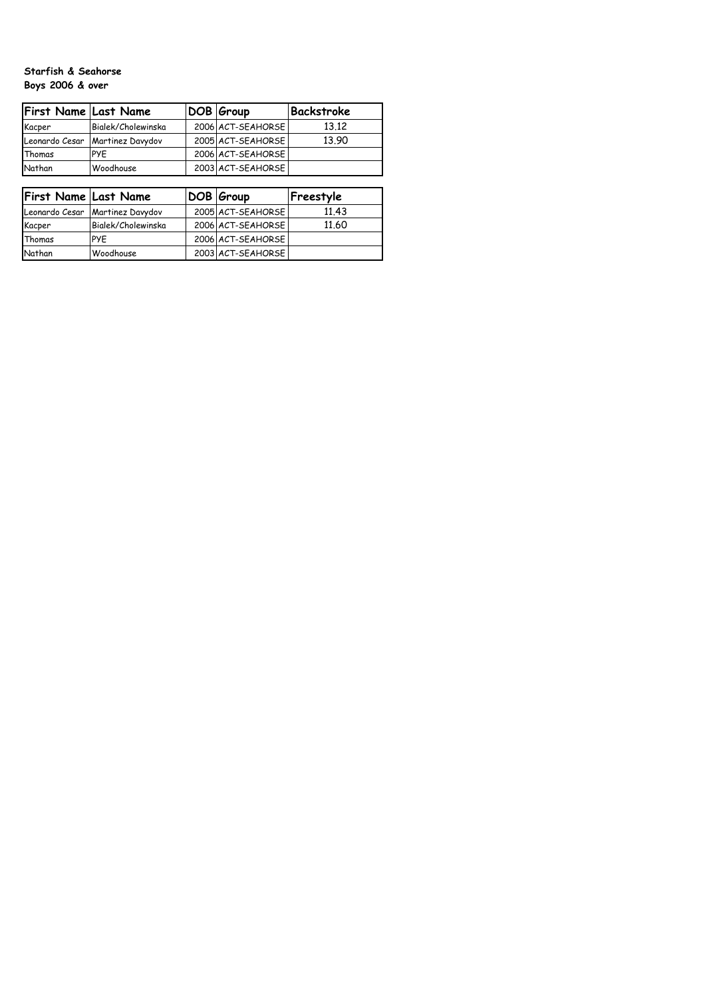## **Starfish & Seahorse Boys 2006 & over**

| First Name Last Name |                                   | DOB Group         | Backstroke |
|----------------------|-----------------------------------|-------------------|------------|
| Kacper               | Bialek/Cholewinska                | 2006 ACT-SEAHORSE | 13.12      |
|                      | Leonardo Cesar   Martinez Davydov | 2005 ACT-SEAHORSE | 13.90      |
| Thomas               | PYF                               | 2006 ACT-SEAHORSE |            |
| Nathan               | Woodhouse                         | 2003 ACT-SEAHORSE |            |

| First Name Last Name |                                   | DOB Group         | Freestyle |
|----------------------|-----------------------------------|-------------------|-----------|
|                      | Leonardo Cesar   Martinez Davydov | 2005 ACT-SEAHORSE | 11.43     |
| Kacper               | Bialek/Cholewinska                | 2006 ACT-SEAHORSE | 11.60     |
| Thomas               | PYF                               | 2006 ACT-SEAHORSE |           |
| Nathan               | Woodhouse                         | 2003 ACT-SEAHORSE |           |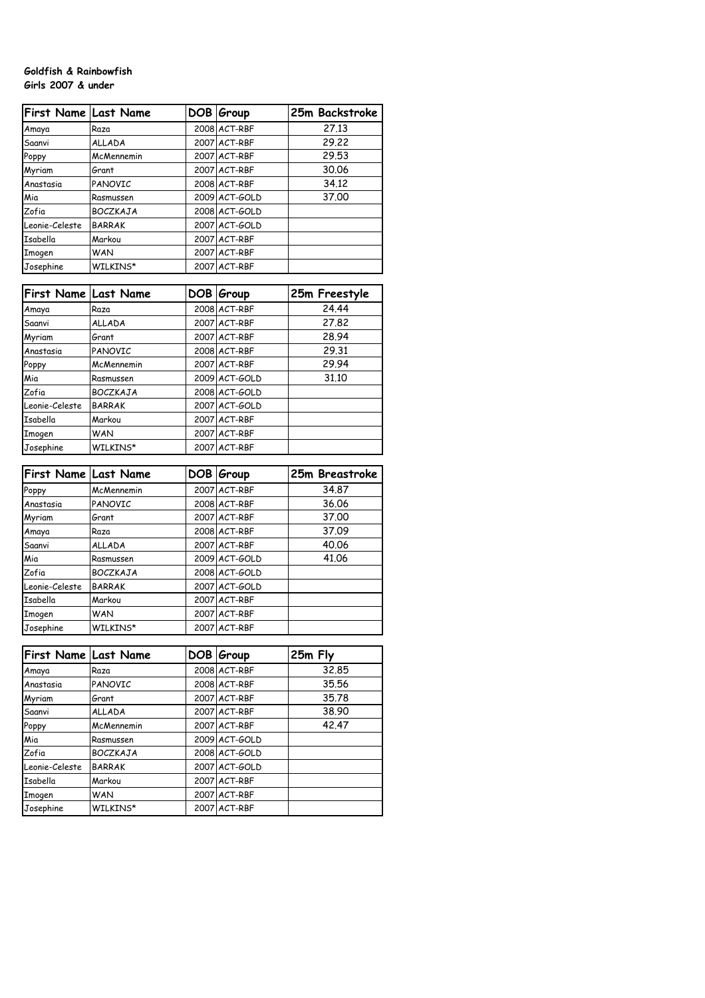#### **Goldfish & Rainbowfish Girls 2007 & under**

| First Name Last Name |                 | DOB Group     | 25m Backstroke |
|----------------------|-----------------|---------------|----------------|
| Amaya                | Raza            | 2008 ACT-RBF  | 27.13          |
| Saanvi               | <b>ALLADA</b>   | 2007 ACT-RBF  | 29.22          |
| Poppy                | McMennemin      | 2007 ACT-RBF  | 29.53          |
| Myriam               | Grant           | 2007 ACT-RBF  | 30.06          |
| Anastasia            | <b>PANOVIC</b>  | 2008 ACT-RBF  | 34.12          |
| Mia                  | Rasmussen       | 2009 ACT-GOLD | 37,00          |
| Zofia                | <b>BOCZKAJA</b> | 2008 ACT-GOLD |                |
| Leonie-Celeste       | <b>BARRAK</b>   | 2007 ACT-GOLD |                |
| Isabella             | Markou          | 2007 ACT-RBF  |                |
| Imogen               | <b>WAN</b>      | 2007 ACT-RBF  |                |
| Josephine            | WILKINS*        | 2007 ACT-RBF  |                |

| First Name Last Name |                 | DOB Group     | 25m Freestyle |
|----------------------|-----------------|---------------|---------------|
| Amaya                | Raza            | 2008 ACT-RBF  | 24.44         |
| Saanvi               | <b>ALLADA</b>   | 2007 ACT-RBF  | 27,82         |
| Myriam               | Grant           | 2007 ACT-RBF  | 28.94         |
| Anastasia            | PANOVIC         | 2008 ACT-RBF  | 29.31         |
| Poppy                | McMennemin      | 2007 ACT-RBF  | 29.94         |
| Mia                  | Rasmussen       | 2009 ACT-GOLD | 31,10         |
| Zofia                | <b>BOCZKAJA</b> | 2008 ACT-GOLD |               |
| Leonie-Celeste       | <b>BARRAK</b>   | 2007 ACT-GOLD |               |
| Isabella             | Markou          | 2007 ACT-RBF  |               |
| Imogen               | <b>WAN</b>      | 2007 ACT-RBF  |               |
| Josephine            | WILKINS*        | 2007 ACT-RBF  |               |

| <b>First Name Last Name</b> |                 | DOB Group     | 25m Breastroke |
|-----------------------------|-----------------|---------------|----------------|
| Poppy                       | McMennemin      | 2007 ACT-RBF  | 34.87          |
| Anastasia                   | PANOVIC         | 2008 ACT-RBF  | 36.06          |
| Myriam                      | Grant           | 2007 ACT-RBF  | 37.00          |
| Amaya                       | Raza            | 2008 ACT-RBF  | 37.09          |
| Saanvi                      | <b>ALLADA</b>   | 2007 ACT-RBF  | 40.06          |
| Mia                         | Rasmussen       | 2009 ACT-GOLD | 41.06          |
| Zofia                       | <b>BOCZKAJA</b> | 2008 ACT-GOLD |                |
| Leonie-Celeste              | <b>BARRAK</b>   | 2007 ACT-GOLD |                |
| Isabella                    | Markou          | 2007 ACT-RBF  |                |
| Imogen                      | <b>WAN</b>      | 2007 ACT-RBF  |                |
| Josephine                   | WILKINS*        | 2007 ACT-RBF  |                |

| <b>First Name Last Name</b> |                 | DOB Group     | 25m Fly |
|-----------------------------|-----------------|---------------|---------|
| Amaya                       | Raza            | 2008 ACT-RBF  | 32.85   |
| Anastasia                   | PANOVIC         | 2008 ACT-RBF  | 35.56   |
| Myriam                      | Grant           | 2007 ACT-RBF  | 35.78   |
| Saanvi                      | <b>ALLADA</b>   | 2007 ACT-RBF  | 38.90   |
| Poppy                       | McMennemin      | 2007 ACT-RBF  | 42.47   |
| Mia                         | Rasmussen       | 2009 ACT-GOLD |         |
| Zofia                       | <b>BOCZKAJA</b> | 2008 ACT-GOLD |         |
| Leonie-Celeste              | <b>BARRAK</b>   | 2007 ACT-GOLD |         |
| <b>Tsabella</b>             | Markou          | 2007 ACT-RBF  |         |
| Imogen                      | <b>WAN</b>      | 2007 ACT-RBF  |         |
| Josephine                   | WILKINS*        | 2007 ACT-RBF  |         |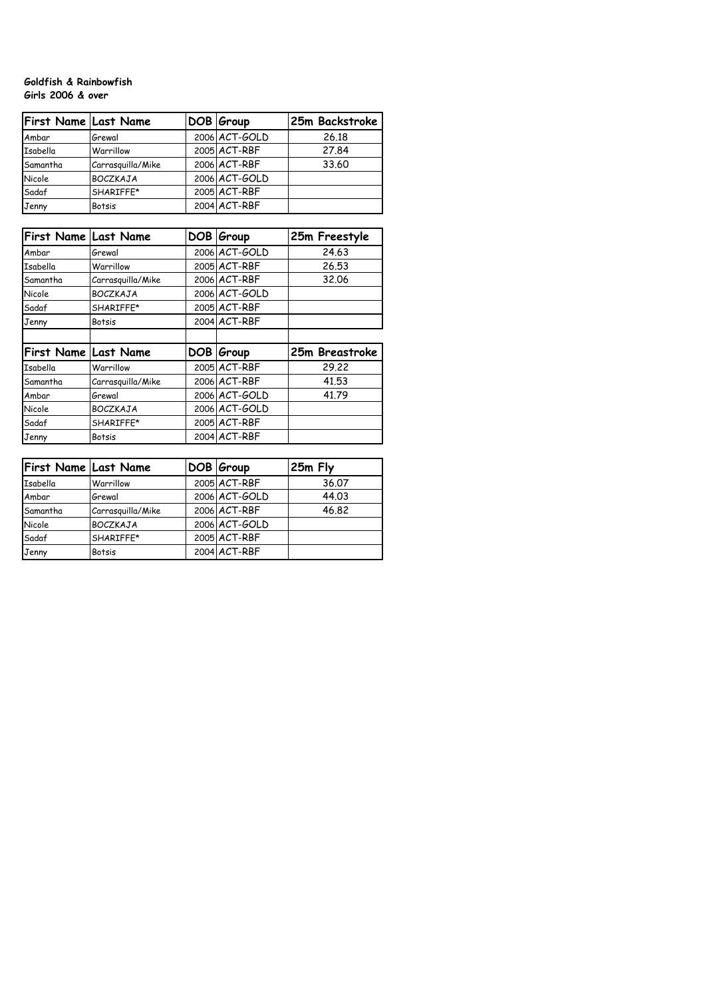### **Goldfish & Rainbowfish Girls 2006 & over**

| <b>First Name Last Name</b> |                   | DOB Group     | 25m Backstroke |
|-----------------------------|-------------------|---------------|----------------|
| Ambar                       | Grewal            | 2006 ACT-GOLD | 26.18          |
| Isabella                    | Warrillow         | 2005 ACT-RBF  | 27.84          |
| Samantha                    | Carrasquilla/Mike | 2006 ACT-RBF  | 33.60          |
| Nicole                      | <b>BOCZKAJA</b>   | 2006 ACT-GOLD |                |
| Sadaf                       | SHARIFFE*         | 2005 ACT-RBF  |                |
| Jenny                       | <b>Botsis</b>     | 2004 ACT-RBF  |                |

| First Name Last Name |                   |      | DOB Group     | 25m Freestyle  |
|----------------------|-------------------|------|---------------|----------------|
| Ambar                | Grewal            |      | 2006 ACT-GOLD | 24.63          |
| Isabella             | Warrillow         |      | 2005 ACT-RBF  | 26.53          |
| Samantha             | Carrasquilla/Mike |      | 2006 ACT-RBF  | 32.06          |
| Nicole               | <b>BOCZKAJA</b>   |      | 2006 ACT-GOLD |                |
| Sadaf                | SHARIFFE*         |      | 2005 ACT-RBF  |                |
| Jenny                | Botsis            |      | 2004 ACT-RBF  |                |
|                      |                   |      |               |                |
| First Name Last Name |                   | DOB. | Group         | 25m Breastroke |
| Isabella             | Warrillow         |      | 2005 ACT-RBF  | 29.22          |
| Samantha             | Carrasquilla/Mike |      | 2006 ACT-RBF  | 41.53          |
| Ambar                | Grewal            |      | 2006 ACT-GOLD | 41.79          |
| Nicole               | <b>BOCZKAJA</b>   |      | 2006 ACT-GOLD |                |
| Sadaf                | SHARIFFE*         |      | 2005 ACT-RBF  |                |
| Jenny                | Botsis            |      | 2004 ACT-RBF  |                |

| <b>First Name Last Name</b> |                   | DOB Group     | 25m Fly |
|-----------------------------|-------------------|---------------|---------|
| Isabella                    | Warrillow         | 2005 ACT-RBF  | 36.07   |
| Ambar                       | Grewal            | 2006 ACT-GOLD | 44.03   |
| Samantha                    | Carrasquilla/Mike | 2006 ACT-RBF  | 46.82   |
| Nicole                      | <b>BOCZKAJA</b>   | 2006 ACT-GOLD |         |
| Sadaf                       | SHARIFFE*         | 2005 ACT-RBF  |         |
| Jenny                       | <b>Botsis</b>     | 2004 ACT-RBF  |         |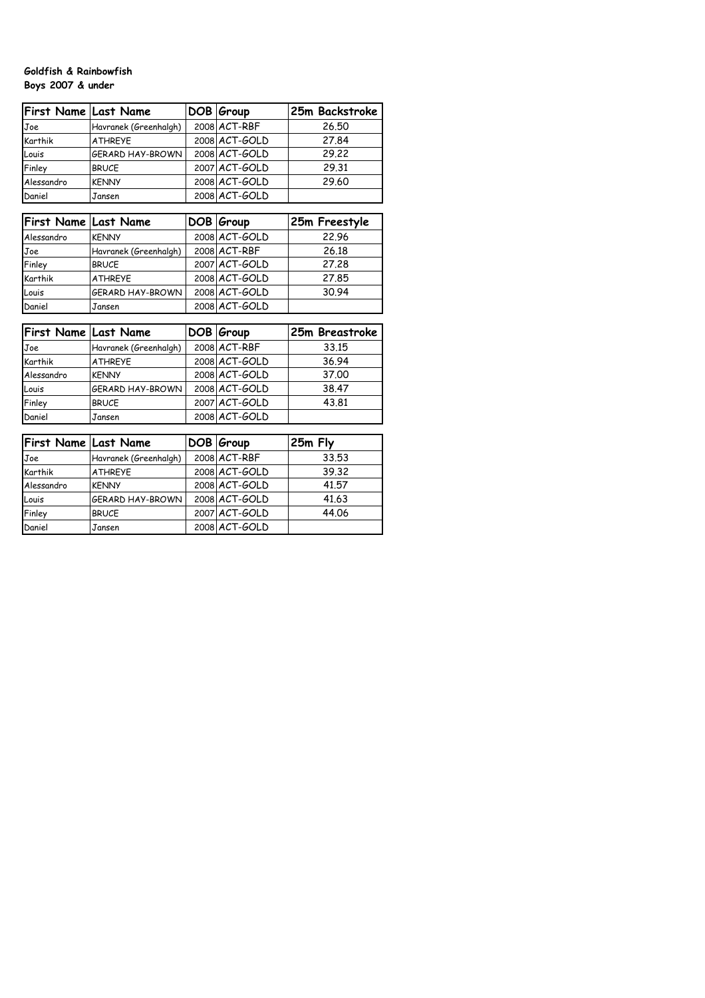## **Goldfish & Rainbowfish Boys 2007 & under**

| First Name Last Name |                         | DOB Group     | 25m Backstroke |
|----------------------|-------------------------|---------------|----------------|
| Joe                  | Havranek (Greenhalgh)   | 2008 ACT-RBF  | 26.50          |
| Karthik              | <b>ATHREYE</b>          | 2008 ACT-GOLD | 27.84          |
| Louis                | <b>GERARD HAY-BROWN</b> | 2008 ACT-GOLD | 29.22          |
| Finley               | <b>BRUCE</b>            | 2007 ACT-GOLD | 29.31          |
| Alessandro           | <b>KENNY</b>            | 2008 ACT-GOLD | 29.60          |
| Daniel               | Jansen                  | 2008 ACT-GOLD |                |

| <b>First Name Last Name</b> |                         | DOB Group     | 25m Freestyle |
|-----------------------------|-------------------------|---------------|---------------|
| Alessandro                  | <b>KENNY</b>            | 2008 ACT-GOLD | 22.96         |
| Joe                         | Havranek (Greenhalgh)   | 2008 ACT-RBF  | 26.18         |
| Finley                      | <b>BRUCE</b>            | 2007 ACT-GOLD | 27.28         |
| Karthik                     | <b>ATHREYE</b>          | 2008 ACT-GOLD | 27.85         |
| Louis                       | <b>GERARD HAY-BROWN</b> | 2008 ACT-GOLD | 30.94         |
| Daniel                      | Jansen                  | 2008 ACT-GOLD |               |

| First Name Last Name |                       | DOB Group         | 25m Breastroke |
|----------------------|-----------------------|-------------------|----------------|
| Joe                  | Havranek (Greenhalgh) | $2008$ $AC$ T-RBF | 33.15          |
| Karthik              | <b>ATHREYE</b>        | 2008 ACT-GOLD     | 36.94          |
| Alessandro           | <b>KENNY</b>          | 2008 ACT-GOLD     | 37.00          |
| Louis                | GERARD HAY-BROWN      | 2008 ACT-GOLD     | 38.47          |
| Finley               | <b>BRUCE</b>          | 2007 ACT-GOLD     | 43.81          |
| Daniel               | Jansen                | 2008 ACT-GOLD     |                |

| <b>First Name Last Name</b> |                       | DOB Group         | 25m Fly |
|-----------------------------|-----------------------|-------------------|---------|
| Joe                         | Havranek (Greenhalgh) | $2008$ $AC$ T-RBF | 33.53   |
| Karthik                     | <b>ATHREYE</b>        | $2008$ $ACT-GOLD$ | 39.32   |
| Alessandro                  | <b>KENNY</b>          | $2008$ $ACT-GOLD$ | 41.57   |
| Louis                       | GERARD HAY-BROWN      | $2008$ $ACT-GOLD$ | 41.63   |
| Finley                      | <b>BRUCE</b>          | 2007 ACT-GOLD     | 44.06   |
| Daniel                      | <b>Jansen</b>         | 2008 ACT-GOLD     |         |